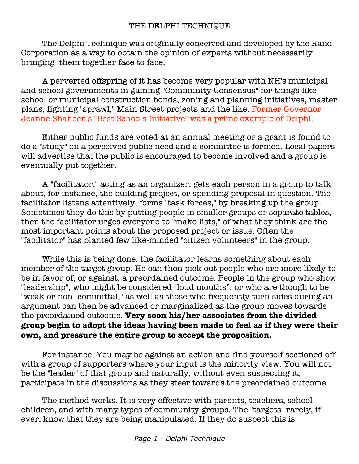## THE DELPHI TECHNIQUE

The Delphi Technique was originally conceived and developed by the Rand Corporation as a way to obtain the opinion of experts without necessarily bringing them together face to face.

A perverted offspring of it has become very popular with NH's municipal and school governments in gaining "Community Consensus" for things like school or municipal construction bonds, zoning and planning initiatives, master plans, fighting "sprawl," Main Street projects and the like. Former Governor Jeanne Shaheen's "Best Schools Initiative" was a prime example of Delphi.

Either public funds are voted at an annual meeting or a grant is found to do a "study" on a perceived public need and a committee is formed. Local papers will advertise that the public is encouraged to become involved and a group is eventually put together.

A "facilitator," acting as an organizer, gets each person in a group to talk about, for instance, the building project, or spending proposal in question. The facilitator listens attentively, forms "task forces," by breaking up the group. Sometimes they do this by putting people in smaller groups or separate tables, then the facilitator urges everyone to "make lists," of what they think are the most important points about the proposed project or issue. Often the "facilitator" has planted few like-minded "citizen volunteers" in the group.

While this is being done, the facilitator learns something about each member of the target group. He can then pick out people who are more likely to be in favor of, or against, a preordained outcome. People in the group who show "leadership", who might be considered "loud mouths", or who are though to be "weak or non- committal," as well as those who frequently turn sides during an argument can then be advanced or marginalized as the group moves towards the preordained outcome. **Very soon his/her associates from the divided group begin to adopt the ideas having been made to feel as if they were their own, and pressure the entire group to accept the proposition.**

For instance: You may be against an action and find yourself sectioned off with a group of supporters where your input is the minority view. You will not be the "leader" of that group and naturally, without even suspecting it, participate in the discussions as they steer towards the preordained outcome.

The method works. It is very effective with parents, teachers, school children, and with many types of community groups. The "targets" rarely, if ever, know that they are being manipulated. If they do suspect this is